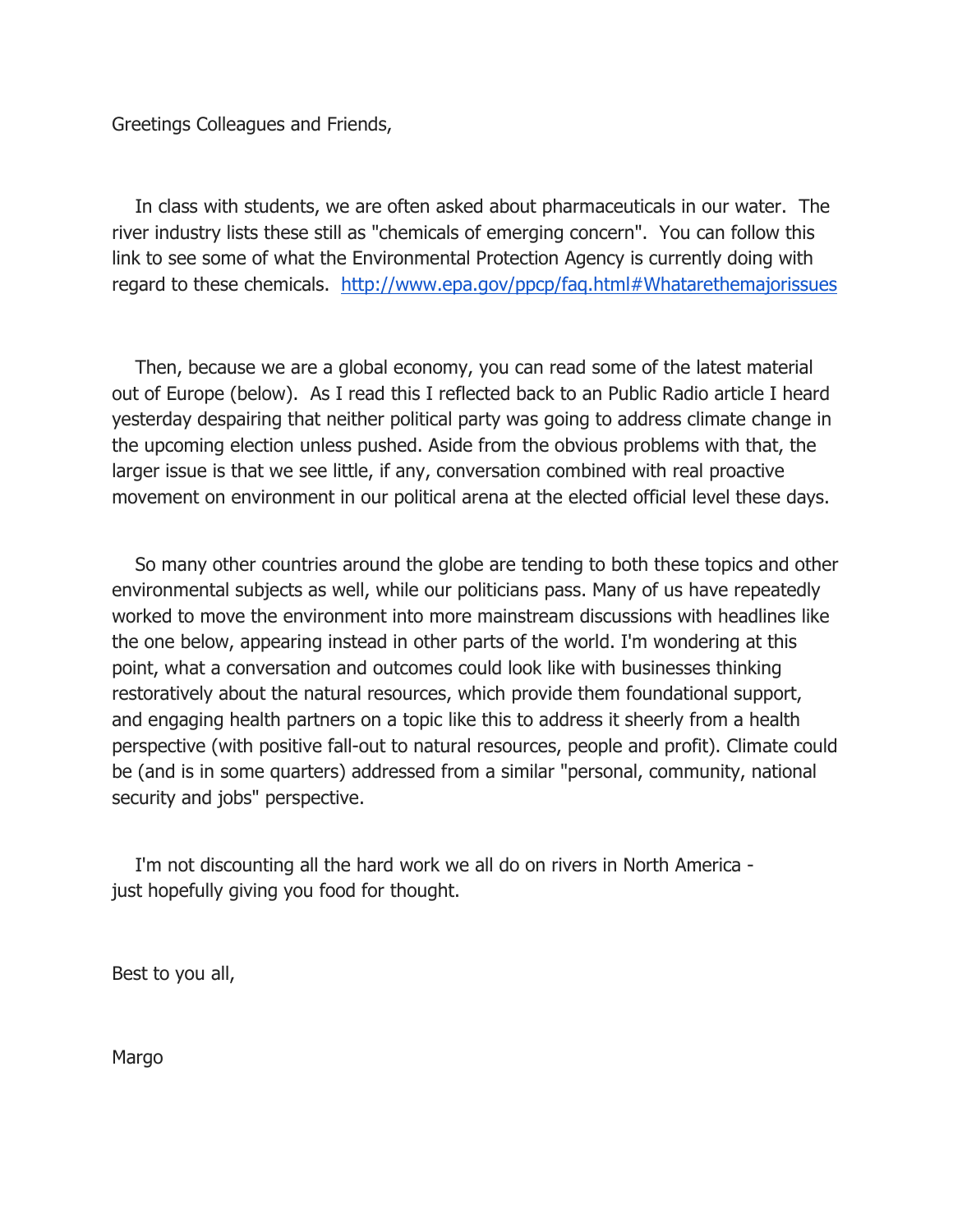Greetings Colleagues and Friends,

 In class with students, we are often asked about pharmaceuticals in our water. The river industry lists these still as "chemicals of emerging concern". You can follow this link to see some of what the Environmental Protection Agency is currently doing with regard to these chemicals. http://www.epa.gov/ppcp/faq.html#Whatarethemajorissues

 Then, because we are a global economy, you can read some of the latest material out of Europe (below). As I read this I reflected back to an Public Radio article I heard yesterday despairing that neither political party was going to address climate change in the upcoming election unless pushed. Aside from the obvious problems with that, the larger issue is that we see little, if any, conversation combined with real proactive movement on environment in our political arena at the elected official level these days.

 So many other countries around the globe are tending to both these topics and other environmental subjects as well, while our politicians pass. Many of us have repeatedly worked to move the environment into more mainstream discussions with headlines like the one below, appearing instead in other parts of the world. I'm wondering at this point, what a conversation and outcomes could look like with businesses thinking restoratively about the natural resources, which provide them foundational support, and engaging health partners on a topic like this to address it sheerly from a health perspective (with positive fall-out to natural resources, people and profit). Climate could be (and is in some quarters) addressed from a similar "personal, community, national security and jobs" perspective.

 I'm not discounting all the hard work we all do on rivers in North America just hopefully giving you food for thought.

Best to you all,

Margo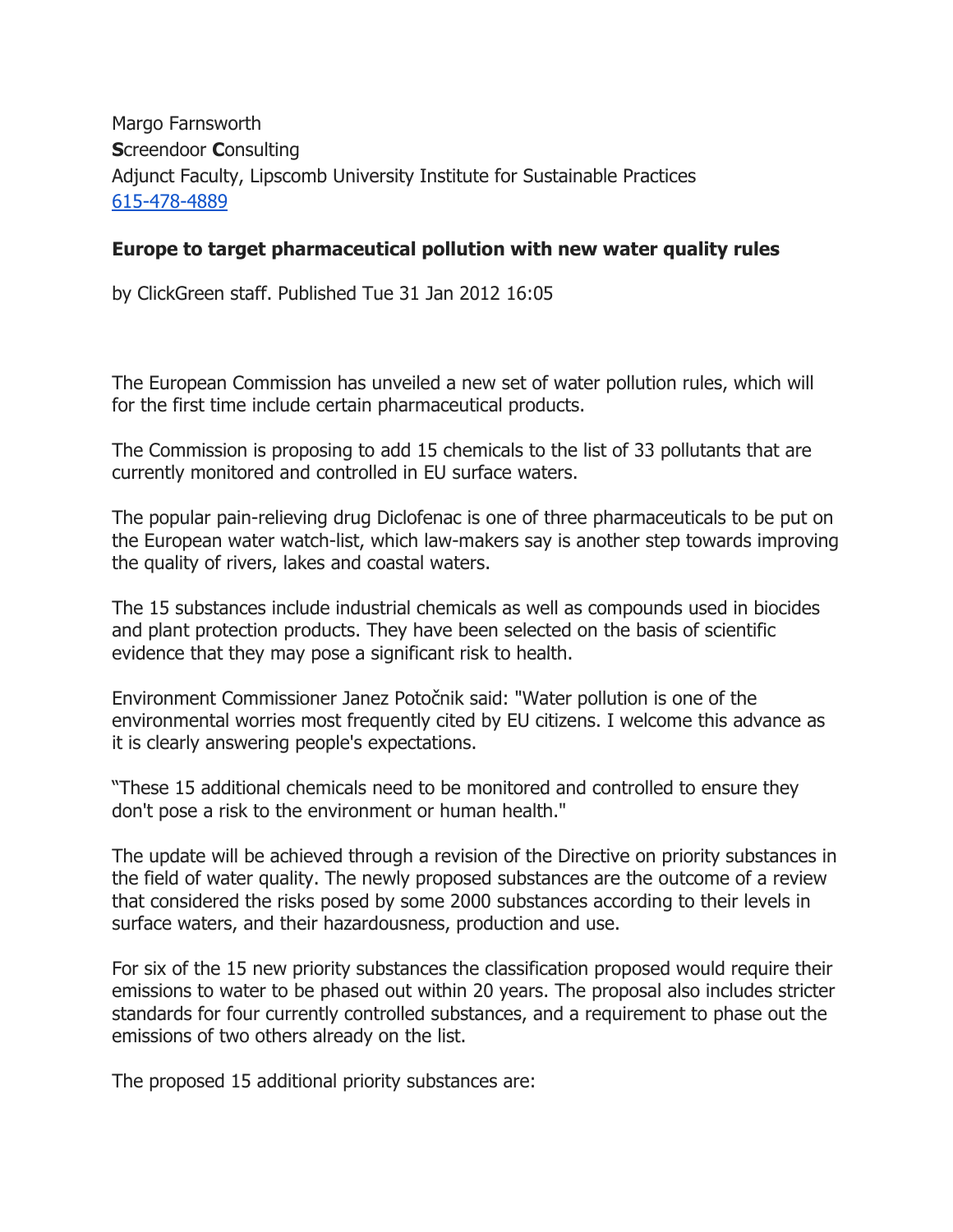Margo Farnsworth Screendoor Consulting Adjunct Faculty, Lipscomb University Institute for Sustainable Practices 615-478-4889

## Europe to target pharmaceutical pollution with new water quality rules

by ClickGreen staff. Published Tue 31 Jan 2012 16:05

The European Commission has unveiled a new set of water pollution rules, which will for the first time include certain pharmaceutical products.

The Commission is proposing to add 15 chemicals to the list of 33 pollutants that are currently monitored and controlled in EU surface waters.

The popular pain-relieving drug Diclofenac is one of three pharmaceuticals to be put on the European water watch-list, which law-makers say is another step towards improving the quality of rivers, lakes and coastal waters.

The 15 substances include industrial chemicals as well as compounds used in biocides and plant protection products. They have been selected on the basis of scientific evidence that they may pose a significant risk to health.

Environment Commissioner Janez Potočnik said: "Water pollution is one of the environmental worries most frequently cited by EU citizens. I welcome this advance as it is clearly answering people's expectations.

"These 15 additional chemicals need to be monitored and controlled to ensure they don't pose a risk to the environment or human health."

The update will be achieved through a revision of the Directive on priority substances in the field of water quality. The newly proposed substances are the outcome of a review that considered the risks posed by some 2000 substances according to their levels in surface waters, and their hazardousness, production and use.

For six of the 15 new priority substances the classification proposed would require their emissions to water to be phased out within 20 years. The proposal also includes stricter standards for four currently controlled substances, and a requirement to phase out the emissions of two others already on the list.

The proposed 15 additional priority substances are: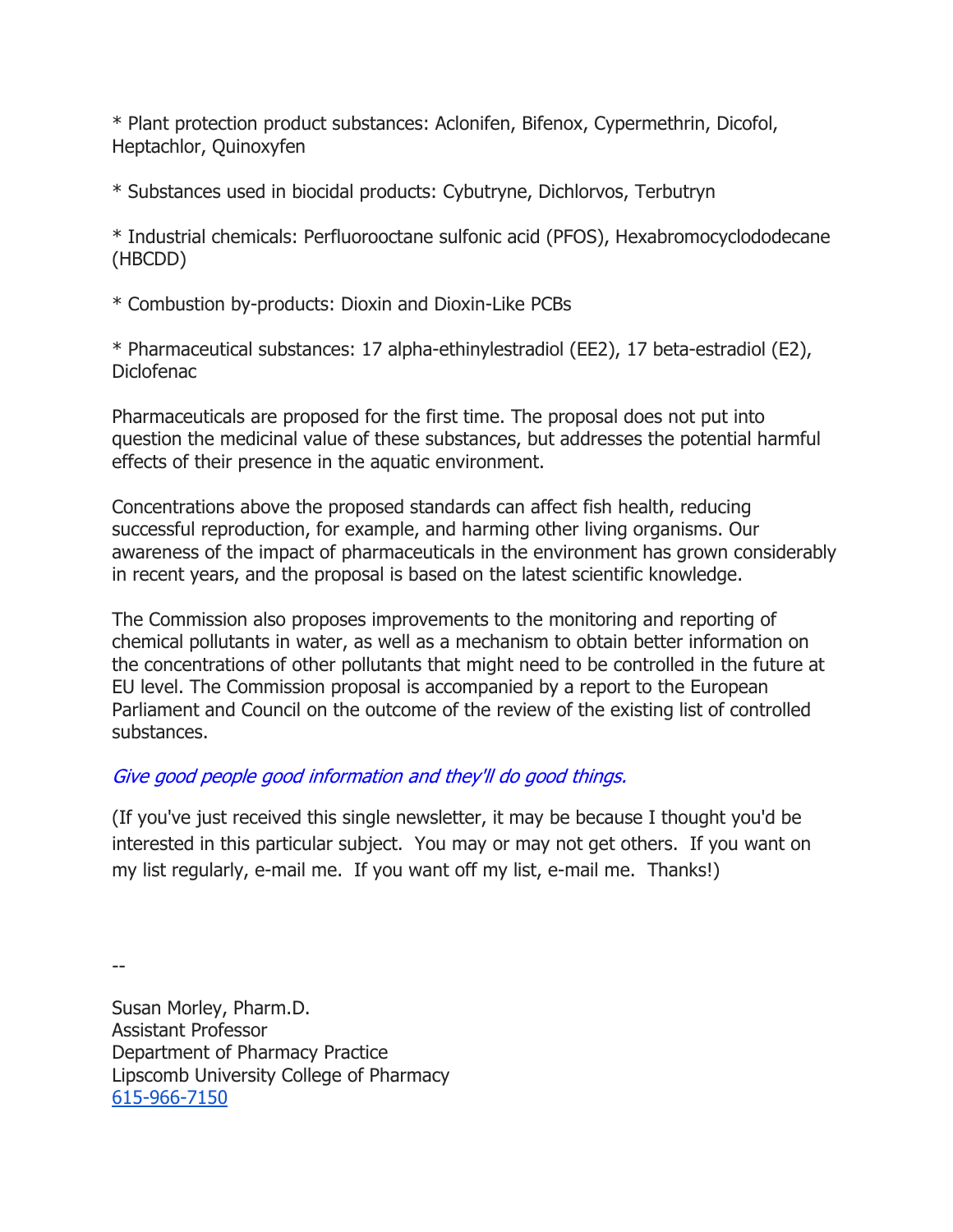\* Plant protection product substances: Aclonifen, Bifenox, Cypermethrin, Dicofol, Heptachlor, Quinoxyfen

\* Substances used in biocidal products: Cybutryne, Dichlorvos, Terbutryn

\* Industrial chemicals: Perfluorooctane sulfonic acid (PFOS), Hexabromocyclododecane (HBCDD)

\* Combustion by-products: Dioxin and Dioxin-Like PCBs

\* Pharmaceutical substances: 17 alpha-ethinylestradiol (EE2), 17 beta-estradiol (E2), Diclofenac

Pharmaceuticals are proposed for the first time. The proposal does not put into question the medicinal value of these substances, but addresses the potential harmful effects of their presence in the aquatic environment.

Concentrations above the proposed standards can affect fish health, reducing successful reproduction, for example, and harming other living organisms. Our awareness of the impact of pharmaceuticals in the environment has grown considerably in recent years, and the proposal is based on the latest scientific knowledge.

The Commission also proposes improvements to the monitoring and reporting of chemical pollutants in water, as well as a mechanism to obtain better information on the concentrations of other pollutants that might need to be controlled in the future at EU level. The Commission proposal is accompanied by a report to the European Parliament and Council on the outcome of the review of the existing list of controlled substances.

## Give good people good information and they'll do good things.

(If you've just received this single newsletter, it may be because I thought you'd be interested in this particular subject. You may or may not get others. If you want on my list regularly, e-mail me. If you want off my list, e-mail me. Thanks!)

--

Susan Morley, Pharm.D. Assistant Professor Department of Pharmacy Practice Lipscomb University College of Pharmacy 615-966-7150